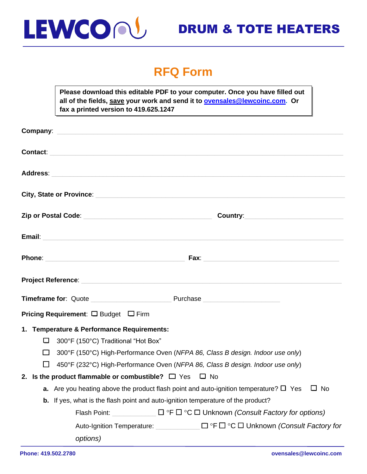

## DRUM & TOTE HEATERS

### **RFQ Form**

**Please download this editable PDF to your computer. Once you have filled out all of the fields, save your work and send it to [ovensales@lewcoinc.com.](mailto:ovensales@lewcoinc.com) Or fax a printed version to 419.625.1247**

| <b>Contact:</b> <u>Contact:</u> Contact: Contact: Contact: Contact: Contact: Contact: Contact: Contact: Contact: Contact: Contact: Contact: Contact: Contact: Contact: Contact: Contact: Contact: Contact: Contact: Contact: Contact: Co |           |
|------------------------------------------------------------------------------------------------------------------------------------------------------------------------------------------------------------------------------------------|-----------|
| Address: Address: Address: Address: Address: Address: Address: Address: Address: Address: Address: A                                                                                                                                     |           |
| City, State or Province: City, State or Province:                                                                                                                                                                                        |           |
| Country: 2008 2012 2022 2023 2024 2022 2022 2023 2024 2022 2023 2024 2022 2023 2024 2022 2023 2024 2025 2026 20                                                                                                                          |           |
|                                                                                                                                                                                                                                          |           |
|                                                                                                                                                                                                                                          |           |
|                                                                                                                                                                                                                                          |           |
|                                                                                                                                                                                                                                          |           |
| <b>Pricing Requirement:</b> $\Box$ Budget $\Box$ Firm                                                                                                                                                                                    |           |
| 1. Temperature & Performance Requirements:<br>□<br>300°F (150°C) Traditional "Hot Box"<br>300°F (150°C) High-Performance Oven (NFPA 86, Class B design. Indoor use only)<br>$\Box$                                                       |           |
| $\mathbf{L}$<br>450°F (232°C) High-Performance Oven (NFPA 86, Class B design. Indoor use only)                                                                                                                                           |           |
| 2. Is the product flammable or combustible? $\Box$ Yes $\Box$ No<br>a. Are you heating above the product flash point and auto-ignition temperature? $\Box$ Yes                                                                           | $\Box$ No |
| b. If yes, what is the flash point and auto-ignition temperature of the product?                                                                                                                                                         |           |
| Flash Point: $\Box$ $\Box$ $\circ$ F $\Box$ $\circ$ C $\Box$ Unknown <i>(Consult Factory for options)</i>                                                                                                                                |           |
| Auto-Ignition Temperature:<br>□ °F □ °C □ Unknown (Consult Factory for                                                                                                                                                                   |           |
| options)                                                                                                                                                                                                                                 |           |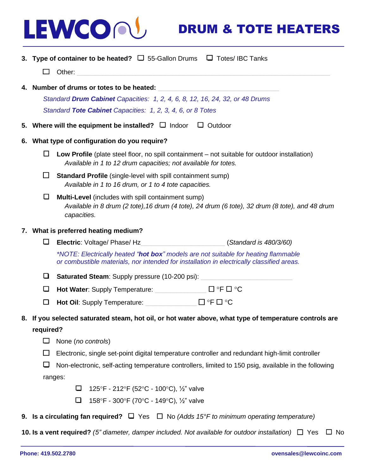# LEWCOO

### DRUM & TOTE HEATERS

**3. Type of container to be heated?** ❑ 55-Gallon Drums ❑ Totes/ IBC Tanks

❑ Other: \_\_\_\_\_\_\_\_\_\_\_\_\_\_\_\_\_\_\_\_\_\_\_\_\_\_\_\_\_\_\_\_\_\_\_\_\_\_\_\_\_\_\_\_\_\_\_\_\_\_\_\_\_\_\_\_\_\_\_\_\_\_\_\_\_\_\_\_\_

**4. Number of drums or totes to be heated:** \_\_\_\_\_\_\_\_\_\_\_\_\_\_\_\_\_\_\_\_\_\_\_\_\_\_\_\_\_\_\_\_\_

*Standard Drum Cabinet Capacities: 1, 2, 4, 6, 8, 12, 16, 24, 32, or 48 Drums Standard Tote Cabinet Capacities: 1, 2, 3, 4, 6, or 8 Totes*

- **5. Where will the equipment be installed?** ❑ Indoor ❑ Outdoor
- **6. What type of configuration do you require?** 
	- ❑ **Low Profile** (plate steel floor, no spill containment not suitable for outdoor installation) *Available in 1 to 12 drum capacities; not available for totes.*
	- ❑ **Standard Profile** (single-level with spill containment sump) *Available in 1 to 16 drum, or 1 to 4 tote capacities.*
	- ❑ **Multi-Level** (includes with spill containment sump) *Available in 8 drum (2 tote),16 drum (4 tote), 24 drum (6 tote), 32 drum (8 tote), and 48 drum capacities.*

#### **7. What is preferred heating medium?**

❑ **Electric**: Voltage/ Phase/ Hz\_\_\_\_\_\_\_\_\_\_\_\_\_\_\_\_\_\_\_\_\_\_\_ (*Standard is 480/3/60)*

*\*NOTE: Electrically heated "hot box" models are not suitable for heating flammable or combustible materials, nor intended for installation in electrically classified areas.* 

□ Saturated Steam: Supply pressure (10-200 psi):

- ❑ **Hot Water**: Supply Temperature: \_\_\_\_\_\_\_\_\_\_\_\_\_\_ ❑ F ❑ C
- ❑ **Hot Oil**: Supply Temperature: \_\_\_\_\_\_\_\_\_\_\_\_\_\_ ❑ F ❑ C
- **8. If you selected saturated steam, hot oil, or hot water above, what type of temperature controls are**

#### **required?**

- ❑ None (*no controls*)
- $\Box$  Electronic, single set-point digital temperature controller and redundant high-limit controller

 $\Box$  Non-electronic, self-acting temperature controllers, limited to 150 psig, available in the following ranges:

- $□$  125°F 212°F (52°C 100°C), 1/<sub>2</sub>" valve
- □ 158°F 300°F (70°C 149°C), ½" valve
- **9. Is a circulating fan required?** ❑ Yes ❑ No *(Adds 15°F to minimum operating temperature)*

**10. Is a vent required?** *(5" diameter, damper included. Not available for outdoor installation)*❑ Yes ❑ No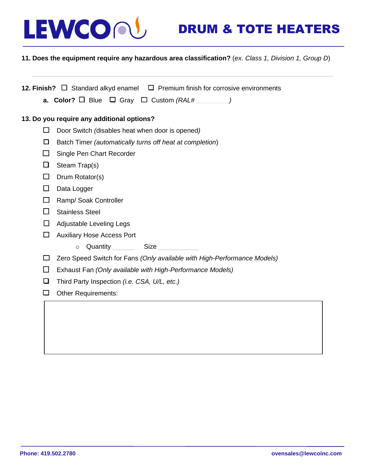

## DRUM & TOTE HEATERS

#### **11. Does the equipment require any hazardous area classification?** (*ex. Class 1, Division 1, Group D*)

**12. Finish?** ❑ Standard alkyd enamel ❑ Premium finish for corrosive environments **a. Color?** ❑ Blue ❑ Gray ❑ Custom *(RAL# \_\_\_\_\_\_\_\_\_)* **13. Do you require any additional options?** ❑ Door Switch *(*disables heat when door is opened*)* ❑ Batch Timer *(automatically turns off heat at completion*) ❑ Single Pen Chart Recorder  $\Box$  Steam Trap(s) ❑ Drum Rotator(s) ❑ Data Logger ❑ Ramp/ Soak Controller ❑ Stainless Steel ❑ Adjustable Leveling Legs ❑ Auxiliary Hose Access Port o Quantity Size ❑ Zero Speed Switch for Fans *(Only available with High-Performance Models)* ❑ Exhaust Fan *(Only available with High-Performance Models)* ❑ Third Party Inspection *(i.e. CSA, U/L, etc.)* ❑ Other Requirements: